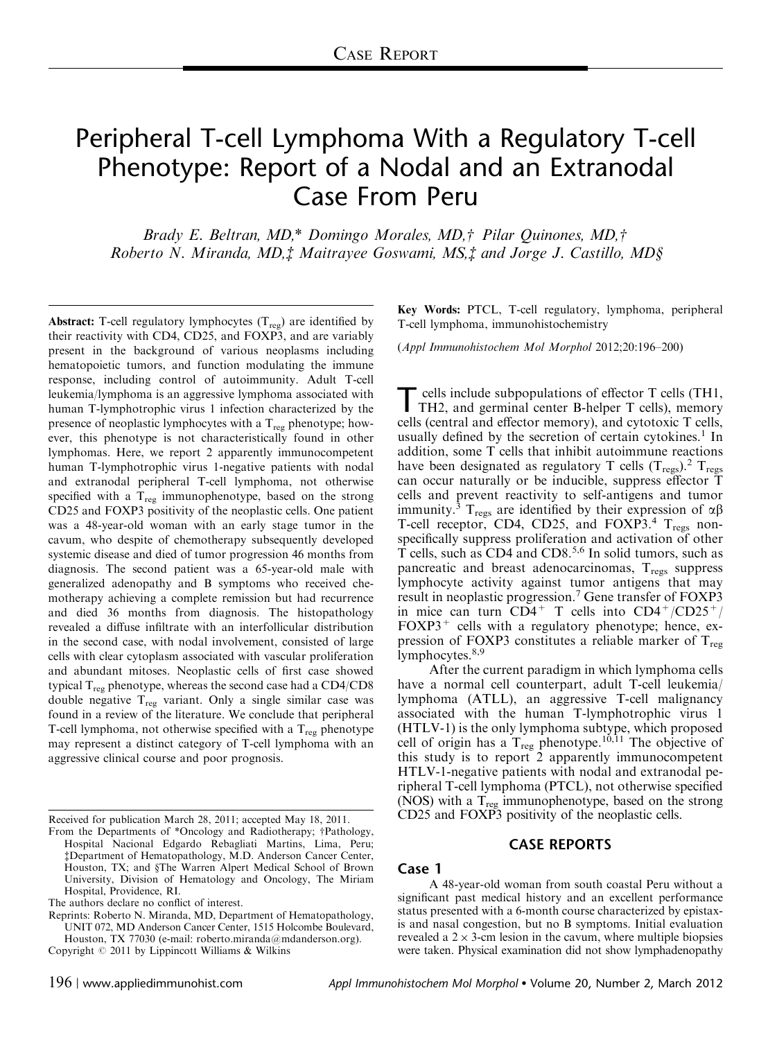# Peripheral T-cell Lymphoma With a Regulatory T-cell Phenotype: Report of a Nodal and an Extranodal Case From Peru

Brady E. Beltran, MD,\* Domingo Morales, MD,† Pilar Quinones, MD,† Roberto N. Miranda, MD, $\ddagger$  Maitrayee Goswami, MS, $\ddagger$  and Jorge J. Castillo, MD§

Abstract: T-cell regulatory lymphocytes  $(T_{res})$  are identified by their reactivity with CD4, CD25, and FOXP3, and are variably present in the background of various neoplasms including hematopoietic tumors, and function modulating the immune response, including control of autoimmunity. Adult T-cell leukemia/lymphoma is an aggressive lymphoma associated with human T-lymphotrophic virus 1 infection characterized by the presence of neoplastic lymphocytes with a  $T_{reg}$  phenotype; however, this phenotype is not characteristically found in other lymphomas. Here, we report 2 apparently immunocompetent human T-lymphotrophic virus 1-negative patients with nodal and extranodal peripheral T-cell lymphoma, not otherwise specified with a  $T_{reg}$  immunophenotype, based on the strong CD25 and FOXP3 positivity of the neoplastic cells. One patient was a 48-year-old woman with an early stage tumor in the cavum, who despite of chemotherapy subsequently developed systemic disease and died of tumor progression 46 months from diagnosis. The second patient was a 65-year-old male with generalized adenopathy and B symptoms who received chemotherapy achieving a complete remission but had recurrence and died 36 months from diagnosis. The histopathology revealed a diffuse infiltrate with an interfollicular distribution in the second case, with nodal involvement, consisted of large cells with clear cytoplasm associated with vascular proliferation and abundant mitoses. Neoplastic cells of first case showed typical  $T_{reg}$  phenotype, whereas the second case had a CD4/CD8 double negative  $T_{reg}$  variant. Only a single similar case was found in a review of the literature. We conclude that peripheral T-cell lymphoma, not otherwise specified with a  $T_{reg}$  phenotype may represent a distinct category of T-cell lymphoma with an aggressive clinical course and poor prognosis.

Key Words: PTCL, T-cell regulatory, lymphoma, peripheral T-cell lymphoma, immunohistochemistry

(Appl Immunohistochem Mol Morphol 2012;20:196–200)

T cells include subpopulations of effector T cells (TH1,<br>TH2, and germinal center B-helper T cells), memory cells (central and effector memory), and cytotoxic T cells, usually defined by the secretion of certain cytokines.<sup>[1](#page-3-0)</sup> In addition, some T cells that inhibit autoimmune reactions have been designated as regulatory T cells  $(T_{\text{regs}})$ .<sup>[2](#page-3-0)</sup>  $T_{\text{regs}}$ can occur naturally or be inducible, suppress effector T cells and prevent reactivity to self-antigens and tumor immunity.<sup>[3](#page-3-0)</sup> T<sub>regs</sub> are identified by their expression of  $\alpha\beta$ T-cell receptor, CD[4](#page-3-0), CD25, and FOXP3.<sup>4</sup> T<sub>regs</sub> nonspecifically suppress proliferation and activation of other T cells, such as CD4 and CD8.[5,6](#page-3-0) In solid tumors, such as pancreatic and breast adenocarcinomas,  $T_{\text{regs}}$  suppress lymphocyte activity against tumor antigens that may result in neoplastic progression.[7](#page-3-0) Gene transfer of FOXP3 in mice can turn  $CD4^+$  T cells into  $CD4^+/CD25^+/$  $FOXP3<sup>+</sup>$  cells with a regulatory phenotype; hence, expression of FOXP3 constitutes a reliable marker of  $T_{\text{reg}}$ lymphocytes. $8,9$ 

After the current paradigm in which lymphoma cells have a normal cell counterpart, adult T-cell leukemia/ lymphoma (ATLL), an aggressive T-cell malignancy associated with the human T-lymphotrophic virus 1 (HTLV-1) is the only lymphoma subtype, which proposed cell of origin has a  $T_{reg}$  phenotype.<sup>[10,11](#page-3-0)</sup> The objective of this study is to report 2 apparently immunocompetent HTLV-1-negative patients with nodal and extranodal peripheral T-cell lymphoma (PTCL), not otherwise specified (NOS) with a  $T_{reg}$  immunophenotype, based on the strong CD25 and FOXP3 positivity of the neoplastic cells.

#### CASE REPORTS

# Case 1

A 48-year-old woman from south coastal Peru without a significant past medical history and an excellent performance status presented with a 6-month course characterized by epistaxis and nasal congestion, but no B symptoms. Initial evaluation revealed a  $2 \times 3$ -cm lesion in the cavum, where multiple biopsies Copyright © 2011 by Lippincott Williams & Wilkins were taken. Physical examination did not show lymphadenopathy

Received for publication March 28, 2011; accepted May 18, 2011.

From the Departments of \*Oncology and Radiotherapy; †Pathology, Hospital Nacional Edgardo Rebagliati Martins, Lima, Peru; zDepartment of Hematopathology, M.D. Anderson Cancer Center, Houston, TX; and §The Warren Alpert Medical School of Brown University, Division of Hematology and Oncology, The Miriam Hospital, Providence, RI.

The authors declare no conflict of interest.

Reprints: Roberto N. Miranda, MD, Department of Hematopathology, UNIT 072, MD Anderson Cancer Center, 1515 Holcombe Boulevard, Houston, TX 77030 (e-mail: roberto.miranda@mdanderson.org).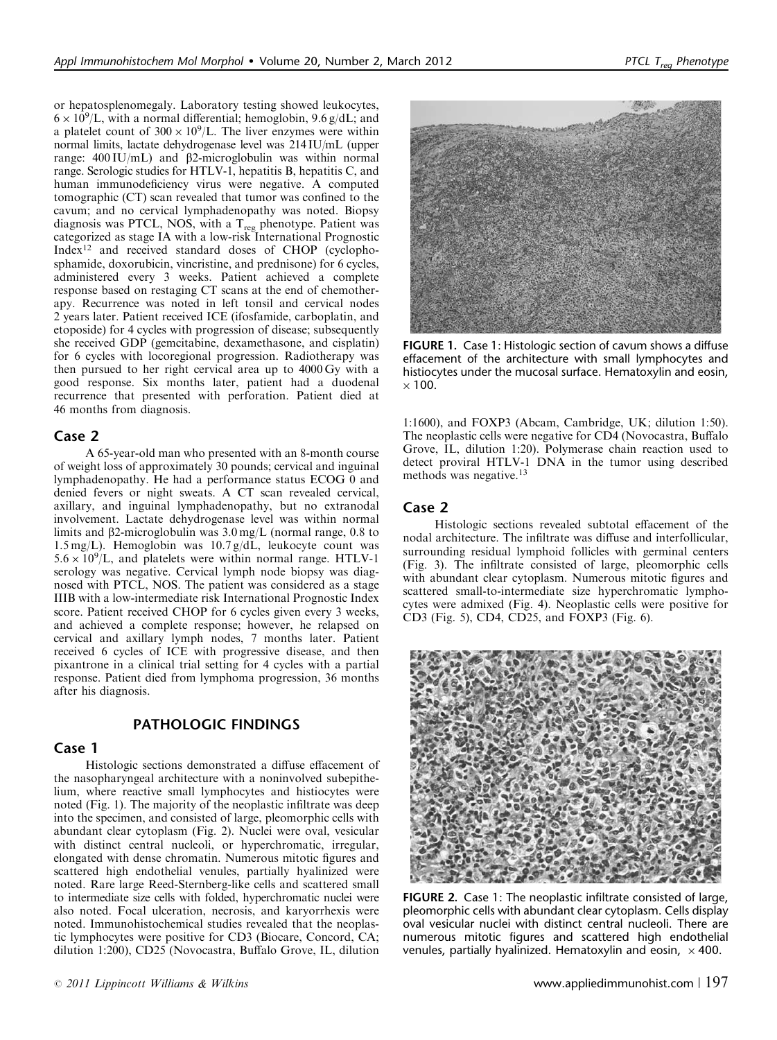or hepatosplenomegaly. Laboratory testing showed leukocytes,  $6 \times 10^9$ /L, with a normal differential; hemoglobin, 9.6 g/dL; and a platelet count of  $300 \times 10^9$ /L. The liver enzymes were within normal limits, lactate dehydrogenase level was 214 IU/mL (upper range:  $400$  IU/mL) and  $\beta$ 2-microglobulin was within normal range. Serologic studies for HTLV-1, hepatitis B, hepatitis C, and human immunodeficiency virus were negative. A computed tomographic (CT) scan revealed that tumor was confined to the cavum; and no cervical lymphadenopathy was noted. Biopsy diagnosis was PTCL, NOS, with a  $T_{reg}$  phenotype. Patient was categorized as stage IA with a low-risk International Prognostic Index[12](#page-3-0) and received standard doses of CHOP (cyclophosphamide, doxorubicin, vincristine, and prednisone) for 6 cycles, administered every 3 weeks. Patient achieved a complete response based on restaging CT scans at the end of chemotherapy. Recurrence was noted in left tonsil and cervical nodes 2 years later. Patient received ICE (ifosfamide, carboplatin, and etoposide) for 4 cycles with progression of disease; subsequently she received GDP (gemcitabine, dexamethasone, and cisplatin) for 6 cycles with locoregional progression. Radiotherapy was then pursued to her right cervical area up to 4000 Gy with a good response. Six months later, patient had a duodenal recurrence that presented with perforation. Patient died at 46 months from diagnosis.

#### Case 2

A 65-year-old man who presented with an 8-month course of weight loss of approximately 30 pounds; cervical and inguinal lymphadenopathy. He had a performance status ECOG 0 and denied fevers or night sweats. A CT scan revealed cervical, axillary, and inguinal lymphadenopathy, but no extranodal involvement. Lactate dehydrogenase level was within normal limits and  $\beta$ 2-microglobulin was  $3.0 \text{ mg/L}$  (normal range, 0.8 to 1.5 mg/L). Hemoglobin was 10.7 g/dL, leukocyte count was  $5.6 \times 10^9$ /L, and platelets were within normal range. HTLV-1 serology was negative. Cervical lymph node biopsy was diagnosed with PTCL, NOS. The patient was considered as a stage IIIB with a low-intermediate risk International Prognostic Index score. Patient received CHOP for 6 cycles given every 3 weeks, and achieved a complete response; however, he relapsed on cervical and axillary lymph nodes, 7 months later. Patient received 6 cycles of ICE with progressive disease, and then pixantrone in a clinical trial setting for 4 cycles with a partial response. Patient died from lymphoma progression, 36 months after his diagnosis.

#### PATHOLOGIC FINDINGS

#### Case 1

Histologic sections demonstrated a diffuse effacement of the nasopharyngeal architecture with a noninvolved subepithelium, where reactive small lymphocytes and histiocytes were noted (Fig. 1). The majority of the neoplastic infiltrate was deep into the specimen, and consisted of large, pleomorphic cells with abundant clear cytoplasm (Fig. 2). Nuclei were oval, vesicular with distinct central nucleoli, or hyperchromatic, irregular, elongated with dense chromatin. Numerous mitotic figures and scattered high endothelial venules, partially hyalinized were noted. Rare large Reed-Sternberg-like cells and scattered small to intermediate size cells with folded, hyperchromatic nuclei were also noted. Focal ulceration, necrosis, and karyorrhexis were noted. Immunohistochemical studies revealed that the neoplastic lymphocytes were positive for CD3 (Biocare, Concord, CA; dilution 1:200), CD25 (Novocastra, Buffalo Grove, IL, dilution



FIGURE 1. Case 1: Histologic section of cavum shows a diffuse effacement of the architecture with small lymphocytes and histiocytes under the mucosal surface. Hematoxylin and eosin,  $\times$  100.

1:1600), and FOXP3 (Abcam, Cambridge, UK; dilution 1:50). The neoplastic cells were negative for CD4 (Novocastra, Buffalo Grove, IL, dilution 1:20). Polymerase chain reaction used to detect proviral HTLV-1 DNA in the tumor using described methods was negative.<sup>[13](#page-4-0)</sup>

## Case 2

Histologic sections revealed subtotal effacement of the nodal architecture. The infiltrate was diffuse and interfollicular, surrounding residual lymphoid follicles with germinal centers [\(Fig. 3](#page-2-0)). The infiltrate consisted of large, pleomorphic cells with abundant clear cytoplasm. Numerous mitotic figures and scattered small-to-intermediate size hyperchromatic lymphocytes were admixed [\(Fig. 4\)](#page-2-0). Neoplastic cells were positive for CD3 ([Fig. 5\)](#page-2-0), CD4, CD25, and FOXP3 ([Fig. 6\)](#page-2-0).



FIGURE 2. Case 1: The neoplastic infiltrate consisted of large, pleomorphic cells with abundant clear cytoplasm. Cells display oval vesicular nuclei with distinct central nucleoli. There are numerous mitotic figures and scattered high endothelial venules, partially hyalinized. Hematoxylin and eosin,  $\,\times\,400.$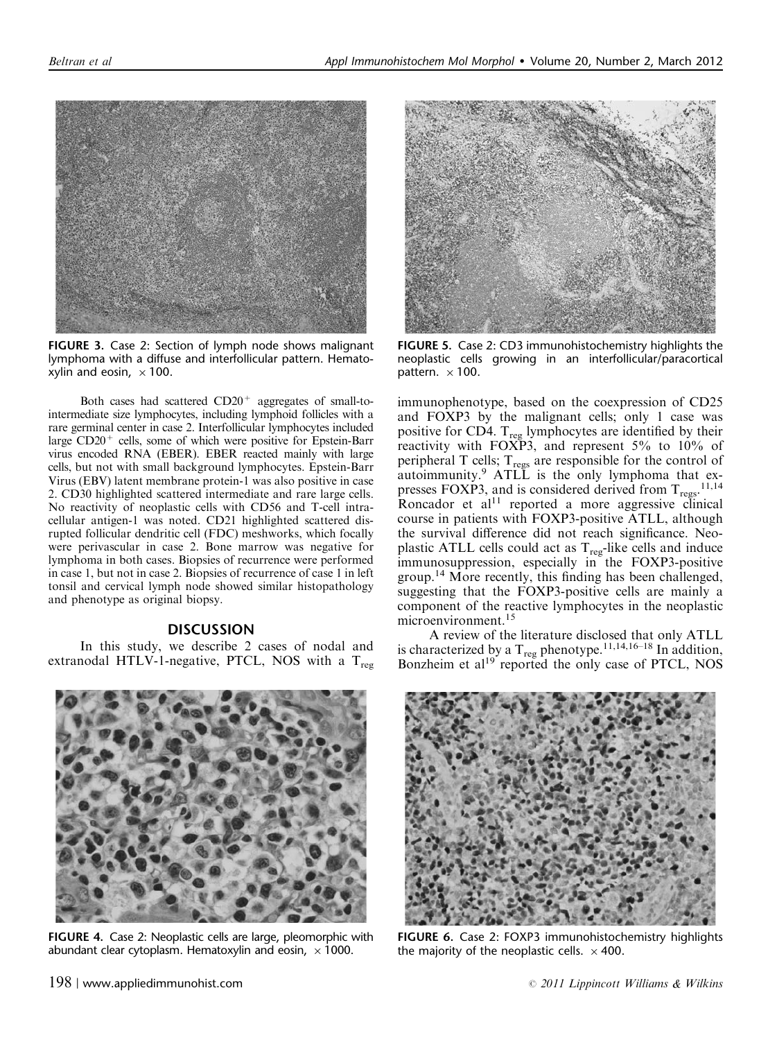<span id="page-2-0"></span>

FIGURE 3. Case 2: Section of lymph node shows malignant lymphoma with a diffuse and interfollicular pattern. Hematoxylin and eosin,  $\times$  100.

Both cases had scattered  $CD20<sup>+</sup>$  aggregates of small-tointermediate size lymphocytes, including lymphoid follicles with a rare germinal center in case 2. Interfollicular lymphocytes included large CD20<sup>+</sup> cells, some of which were positive for Epstein-Barr virus encoded RNA (EBER). EBER reacted mainly with large cells, but not with small background lymphocytes. Epstein-Barr Virus (EBV) latent membrane protein-1 was also positive in case 2. CD30 highlighted scattered intermediate and rare large cells. No reactivity of neoplastic cells with CD56 and T-cell intracellular antigen-1 was noted. CD21 highlighted scattered disrupted follicular dendritic cell (FDC) meshworks, which focally were perivascular in case 2. Bone marrow was negative for lymphoma in both cases. Biopsies of recurrence were performed in case 1, but not in case 2. Biopsies of recurrence of case 1 in left tonsil and cervical lymph node showed similar histopathology and phenotype as original biopsy.

### DISCUSSION

In this study, we describe 2 cases of nodal and extranodal HTLV-1-negative, PTCL, NOS with a  $T_{reg}$ 



FIGURE 4. Case 2: Neoplastic cells are large, pleomorphic with abundant clear cytoplasm. Hematoxylin and eosin,  $\,\times\,1000.$ 



FIGURE 5. Case 2: CD3 immunohistochemistry highlights the neoplastic cells growing in an interfollicular/paracortical pattern.  $\times$  100.

immunophenotype, based on the coexpression of CD25 and FOXP3 by the malignant cells; only 1 case was positive for CD4.  $T_{\text{reg}}$  lymphocytes are identified by their reactivity with FOXP3, and represent 5% to 10% of peripheral T cells;  $T_{\text{regs}}$  are responsible for the control of autoimmunity.[9](#page-3-0) ATLL is the only lymphoma that expresses FOXP3, and is considered derived from  $T_{\text{regs}}$ .<sup>[11,14](#page-3-0)</sup> Roncador et al $11$  reported a more aggressive clinical course in patients with FOXP3-positive ATLL, although the survival difference did not reach significance. Neoplastic ATLL cells could act as  $T_{reg}$ -like cells and induce immunosuppression, especially in the FOXP3-positive group.[14](#page-4-0) More recently, this finding has been challenged, suggesting that the FOXP3-positive cells are mainly a component of the reactive lymphocytes in the neoplastic microenvironment.<sup>[15](#page-4-0)</sup>

A review of the literature disclosed that only ATLL is characterized by a  $T_{\text{reg}}$  phenotype.<sup>[11,14,16–18](#page-3-0)</sup> In addition, Bonzheim et al<sup>19</sup> reported the only case of PTCL, NOS



FIGURE 6. Case 2: FOXP3 immunohistochemistry highlights the majority of the neoplastic cells.  $\times$  400.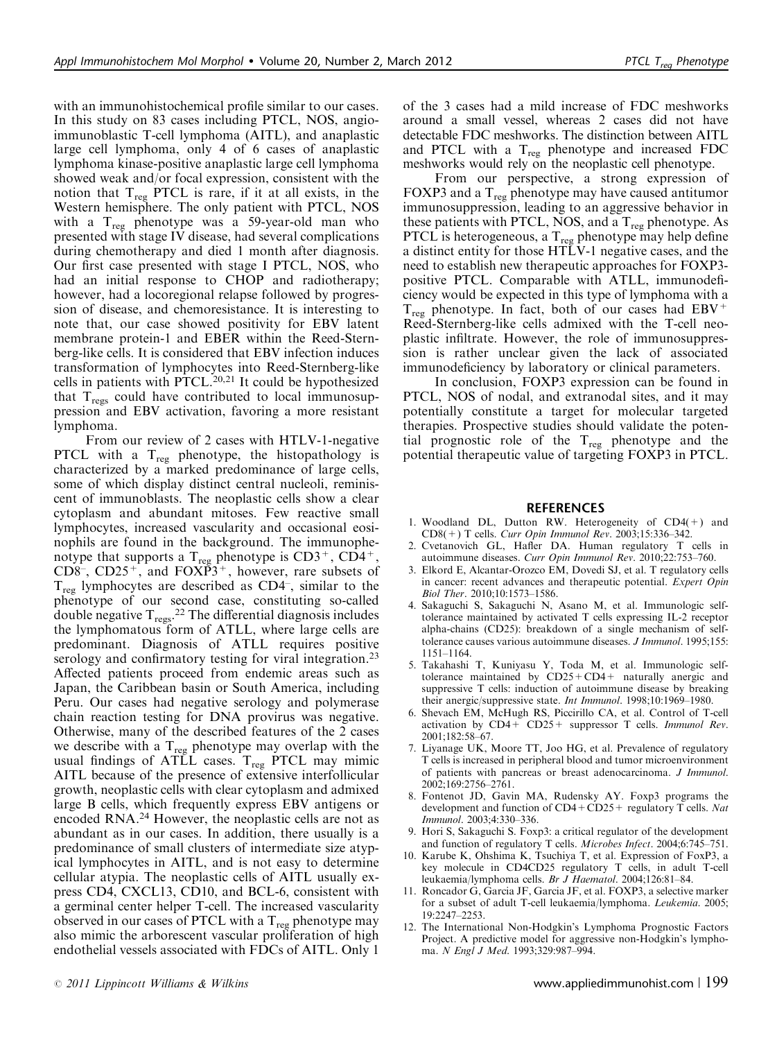<span id="page-3-0"></span>with an immunohistochemical profile similar to our cases. In this study on 83 cases including PTCL, NOS, angioimmunoblastic T-cell lymphoma (AITL), and anaplastic large cell lymphoma, only 4 of 6 cases of anaplastic lymphoma kinase-positive anaplastic large cell lymphoma showed weak and/or focal expression, consistent with the notion that  $T_{reg}$  PTCL is rare, if it at all exists, in the Western hemisphere. The only patient with PTCL, NOS with a  $T_{reg}$  phenotype was a 59-year-old man who presented with stage IV disease, had several complications during chemotherapy and died 1 month after diagnosis. Our first case presented with stage I PTCL, NOS, who had an initial response to CHOP and radiotherapy; however, had a locoregional relapse followed by progression of disease, and chemoresistance. It is interesting to note that, our case showed positivity for EBV latent membrane protein-1 and EBER within the Reed-Sternberg-like cells. It is considered that EBV infection induces transformation of lymphocytes into Reed-Sternberg-like cells in patients with PTCL.<sup>[20,21](#page-4-0)</sup> It could be hypothesized that  $T_{\text{regs}}$  could have contributed to local immunosuppression and EBV activation, favoring a more resistant lymphoma.

From our review of 2 cases with HTLV-1-negative PTCL with a  $T_{\text{reg}}$  phenotype, the histopathology is characterized by a marked predominance of large cells, some of which display distinct central nucleoli, reminiscent of immunoblasts. The neoplastic cells show a clear cytoplasm and abundant mitoses. Few reactive small lymphocytes, increased vascularity and occasional eosinophils are found in the background. The immunophenotype that supports a  $T_{reg}$  phenotype is  $CD3^+$ ,  $CD4^+$ ,  $CD8^-$ ,  $CD25^+$ , and  $FOX\overline{P}3^+$ , however, rare subsets of  $T_{reg}$  lymphocytes are described as CD4<sup>-</sup>, similar to the phenotype of our second case, constituting so-called double negative  $T_{\text{reg}}$ .<sup>[22](#page-4-0)</sup> The differential diagnosis includes the lymphomatous form of ATLL, where large cells are predominant. Diagnosis of ATLL requires positive serology and confirmatory testing for viral integration.<sup>23</sup> Affected patients proceed from endemic areas such as Japan, the Caribbean basin or South America, including Peru. Our cases had negative serology and polymerase chain reaction testing for DNA provirus was negative. Otherwise, many of the described features of the 2 cases we describe with a  $T_{reg}$  phenotype may overlap with the usual findings of ATLL cases.  $T_{reg}$  PTCL may mimic AITL because of the presence of extensive interfollicular growth, neoplastic cells with clear cytoplasm and admixed large B cells, which frequently express EBV antigens or encoded RNA[.24](#page-4-0) However, the neoplastic cells are not as abundant as in our cases. In addition, there usually is a predominance of small clusters of intermediate size atypical lymphocytes in AITL, and is not easy to determine cellular atypia. The neoplastic cells of AITL usually express CD4, CXCL13, CD10, and BCL-6, consistent with a germinal center helper T-cell. The increased vascularity observed in our cases of PTCL with a  $T_{reg}$  phenotype may also mimic the arborescent vascular proliferation of high endothelial vessels associated with FDCs of AITL. Only 1

of the 3 cases had a mild increase of FDC meshworks around a small vessel, whereas 2 cases did not have detectable FDC meshworks. The distinction between AITL and PTCL with a  $T_{reg}$  phenotype and increased FDC meshworks would rely on the neoplastic cell phenotype.

From our perspective, a strong expression of FOXP3 and a  $T_{\text{reg}}$  phenotype may have caused antitumor immunosuppression, leading to an aggressive behavior in these patients with PTCL, NOS, and a  $T_{reg}$  phenotype. As PTCL is heterogeneous, a  $T_{reg}$  phenotype may help define a distinct entity for those HTLV-1 negative cases, and the need to establish new therapeutic approaches for FOXP3 positive PTCL. Comparable with ATLL, immunodeficiency would be expected in this type of lymphoma with a  $T_{\text{reg}}$  phenotype. In fact, both of our cases had EBV<sup>+</sup> Reed-Sternberg-like cells admixed with the T-cell neoplastic infiltrate. However, the role of immunosuppression is rather unclear given the lack of associated immunodeficiency by laboratory or clinical parameters.

In conclusion, FOXP3 expression can be found in PTCL, NOS of nodal, and extranodal sites, and it may potentially constitute a target for molecular targeted therapies. Prospective studies should validate the potential prognostic role of the  $T_{reg}$  phenotype and the potential therapeutic value of targeting FOXP3 in PTCL.

#### REFERENCES

- 1. Woodland DL, Dutton RW. Heterogeneity of CD4(+) and CD8(+) T cells. Curr Opin Immunol Rev. 2003;15:336–342.
- 2. Cvetanovich GL, Hafler DA. Human regulatory T cells in autoimmune diseases. Curr Opin Immunol Rev. 2010;22:753-760.
- 3. Elkord E, Alcantar-Orozco EM, Dovedi SJ, et al. T regulatory cells in cancer: recent advances and therapeutic potential. Expert Opin Biol Ther. 2010;10:1573–1586.
- 4. Sakaguchi S, Sakaguchi N, Asano M, et al. Immunologic selftolerance maintained by activated T cells expressing IL-2 receptor alpha-chains (CD25): breakdown of a single mechanism of selftolerance causes various autoimmune diseases. J Immunol. 1995;155: 1151–1164.
- 5. Takahashi T, Kuniyasu Y, Toda M, et al. Immunologic selftolerance maintained by CD25+CD4+ naturally anergic and suppressive T cells: induction of autoimmune disease by breaking their anergic/suppressive state. Int Immunol. 1998;10:1969-1980.
- 6. Shevach EM, McHugh RS, Piccirillo CA, et al. Control of T-cell activation by  $CD4 + CD25 +$  suppressor T cells. *Immunol Rev.* 2001;182:58–67.
- 7. Liyanage UK, Moore TT, Joo HG, et al. Prevalence of regulatory T cells is increased in peripheral blood and tumor microenvironment of patients with pancreas or breast adenocarcinoma. J Immunol. 2002;169:2756–2761.
- 8. Fontenot JD, Gavin MA, Rudensky AY. Foxp3 programs the development and function of  $CD4 + CD25 +$  regulatory T cells. Nat Immunol. 2003;4:330–336.
- Hori S, Sakaguchi S. Foxp3: a critical regulator of the development and function of regulatory T cells. Microbes Infect. 2004;6:745-751.
- 10. Karube K, Ohshima K, Tsuchiya T, et al. Expression of FoxP3, a key molecule in CD4CD25 regulatory T cells, in adult T-cell leukaemia/lymphoma cells. Br J Haematol. 2004;126:81-84.
- 11. Roncador G, Garcia JF, Garcia JF, et al. FOXP3, a selective marker for a subset of adult T-cell leukaemia/lymphoma. Leukemia. 2005; 19:2247–2253.
- 12. The International Non-Hodgkin's Lymphoma Prognostic Factors Project. A predictive model for aggressive non-Hodgkin's lymphoma. N Engl J Med. 1993;329:987–994.